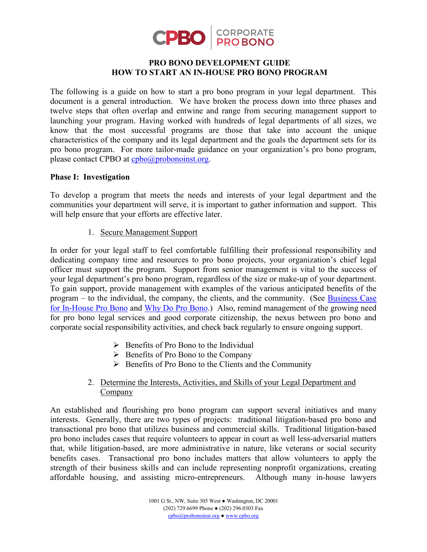

## **PRO BONO DEVELOPMENT GUIDE HOW TO START AN IN-HOUSE PRO BONO PROGRAM**

The following is a guide on how to start a pro bono program in your legal department. This document is a general introduction. We have broken the process down into three phases and twelve steps that often overlap and entwine and range from securing management support to launching your program. Having worked with hundreds of legal departments of all sizes, we know that the most successful programs are those that take into account the unique characteristics of the company and its legal department and the goals the department sets for its pro bono program. For more tailor-made guidance on your organization's pro bono program, please contact CPBO at [cpbo@probonoinst.org.](mailto:cpbo@probonoinst.org)

#### **Phase I: Investigation**

To develop a program that meets the needs and interests of your legal department and the communities your department will serve, it is important to gather information and support. This will help ensure that your efforts are effective later.

1. Secure Management Support

In order for your legal staff to feel comfortable fulfilling their professional responsibility and dedicating company time and resources to pro bono projects, your organization's chief legal officer must support the program. Support from senior management is vital to the success of your legal department's pro bono program, regardless of the size or make-up of your department. To gain support, provide management with examples of the various anticipated benefits of the program – to the individual, the company, the clients, and the community. (See Business Case [for In-House Pro Bono](http://www.cpbo.org/wp-content/uploads/2012/03/Business-Case-for-In-House-Pro-Bono-10.31.17.pdf) and [Why Do Pro Bono.](http://www.cpbo.org/wp-content/uploads/2012/03/CPBO-WDPB2017.pdf)) Also, remind management of the growing need for pro bono legal services and good corporate citizenship, the nexus between pro bono and corporate social responsibility activities, and check back regularly to ensure ongoing support.

- $\triangleright$  Benefits of Pro Bono to the Individual
- $\triangleright$  Benefits of Pro Bono to the Company
- $\triangleright$  Benefits of Pro Bono to the Clients and the Community

## 2. Determine the Interests, Activities, and Skills of your Legal Department and Company

An established and flourishing pro bono program can support several initiatives and many interests. Generally, there are two types of projects: traditional litigation-based pro bono and transactional pro bono that utilizes business and commercial skills. Traditional litigation-based pro bono includes cases that require volunteers to appear in court as well less-adversarial matters that, while litigation-based, are more administrative in nature, like veterans or social security benefits cases. Transactional pro bono includes matters that allow volunteers to apply the strength of their business skills and can include representing nonprofit organizations, creating affordable housing, and assisting micro-entrepreneurs. Although many in-house lawyers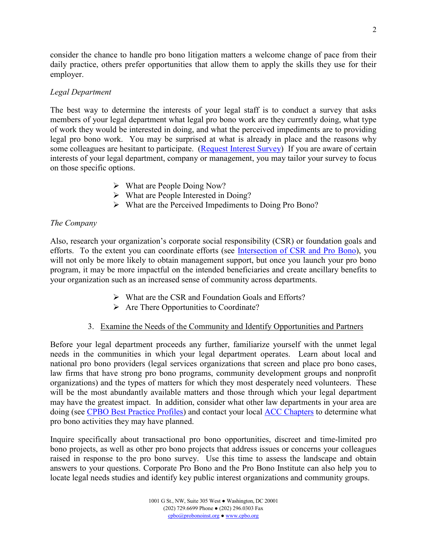consider the chance to handle pro bono litigation matters a welcome change of pace from their daily practice, others prefer opportunities that allow them to apply the skills they use for their employer.

# *Legal Department*

The best way to determine the interests of your legal staff is to conduct a survey that asks members of your legal department what legal pro bono work are they currently doing, what type of work they would be interested in doing, and what the perceived impediments are to providing legal pro bono work. You may be surprised at what is already in place and the reasons why some colleagues are hesitant to participate. (Request [Interest Survey\)](mailto:cpbo@probonoinst.org?subject=Interest%20Survey) If you are aware of certain interests of your legal department, company or management, you may tailor your survey to focus on those specific options.

- What are People Doing Now?
- $\triangleright$  What are People Interested in Doing?
- What are the Perceived Impediments to Doing Pro Bono?

# *The Company*

Also, research your organization's corporate social responsibility (CSR) or foundation goals and efforts. To the extent you can coordinate efforts (see [Intersection of CSR and Pro Bono\)](http://www.cpbo.org/wp-content/uploads/2018/08/Example-of-Aligning-CSR-and-Pro-Bono-updated-IP.pdf), you will not only be more likely to obtain management support, but once you launch your pro bono program, it may be more impactful on the intended beneficiaries and create ancillary benefits to your organization such as an increased sense of community across departments.

- What are the CSR and Foundation Goals and Efforts?
- $\triangleright$  Are There Opportunities to Coordinate?

# 3. Examine the Needs of the Community and Identify Opportunities and Partners

Before your legal department proceeds any further, familiarize yourself with the unmet legal needs in the communities in which your legal department operates. Learn about local and national pro bono providers (legal services organizations that screen and place pro bono cases, law firms that have strong pro bono programs, community development groups and nonprofit organizations) and the types of matters for which they most desperately need volunteers. These will be the most abundantly available matters and those through which your legal department may have the greatest impact. In addition, consider what other law departments in your area are doing (see [CPBO Best Practice Profiles\)](http://www.cpbo.org/resources/best-practice-profiles/) and contact your local [ACC Chapters](http://thepbeye.probonoinst.org/2013/01/30/acc-chapters-pro-bono/) to determine what pro bono activities they may have planned.

Inquire specifically about transactional pro bono opportunities, discreet and time-limited pro bono projects, as well as other pro bono projects that address issues or concerns your colleagues raised in response to the pro bono survey. Use this time to assess the landscape and obtain answers to your questions. Corporate Pro Bono and the Pro Bono Institute can also help you to locate legal needs studies and identify key public interest organizations and community groups.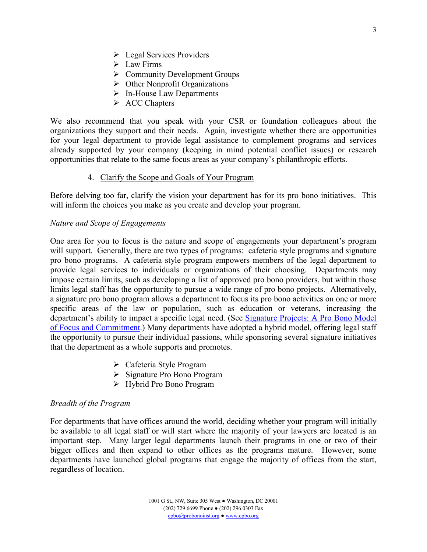- **Legal Services Providers**
- $\triangleright$  Law Firms
- $\triangleright$  Community Development Groups
- $\triangleright$  Other Nonprofit Organizations
- $\triangleright$  In-House Law Departments
- $\triangleright$  ACC Chapters

We also recommend that you speak with your CSR or foundation colleagues about the organizations they support and their needs. Again, investigate whether there are opportunities for your legal department to provide legal assistance to complement programs and services already supported by your company (keeping in mind potential conflict issues) or research opportunities that relate to the same focus areas as your company's philanthropic efforts.

#### 4. Clarify the Scope and Goals of Your Program

Before delving too far, clarify the vision your department has for its pro bono initiatives. This will inform the choices you make as you create and develop your program.

#### *Nature and Scope of Engagements*

One area for you to focus is the nature and scope of engagements your department's program will support. Generally, there are two types of programs: cafeteria style programs and signature pro bono programs. A cafeteria style program empowers members of the legal department to provide legal services to individuals or organizations of their choosing. Departments may impose certain limits, such as developing a list of approved pro bono providers, but within those limits legal staff has the opportunity to pursue a wide range of pro bono projects. Alternatively, a signature pro bono program allows a department to focus its pro bono activities on one or more specific areas of the law or population, such as education or veterans, increasing the department's ability to impact a specific legal need. (See Signature Projects: A Pro Bono Model [of Focus and Commitment](http://www.cpbo.org/signature).) Many departments have adopted a hybrid model, offering legal staff the opportunity to pursue their individual passions, while sponsoring several signature initiatives that the department as a whole supports and promotes.

- Cafeteria Style Program
- Signature Pro Bono Program
- Hybrid Pro Bono Program

#### *Breadth of the Program*

For departments that have offices around the world, deciding whether your program will initially be available to all legal staff or will start where the majority of your lawyers are located is an important step. Many larger legal departments launch their programs in one or two of their bigger offices and then expand to other offices as the programs mature. However, some departments have launched global programs that engage the majority of offices from the start, regardless of location.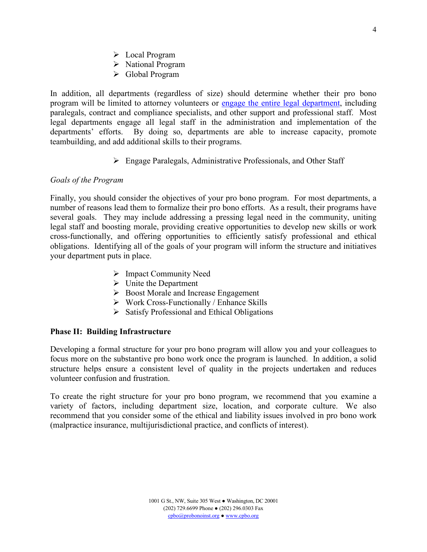- > Local Program
- $\triangleright$  National Program
- Global Program

In addition, all departments (regardless of size) should determine whether their pro bono program will be limited to attorney volunteers or [engage the entire legal department,](http://www.cpbo.org/wp-content/uploads/2018/11/In-House-Non-lawyer.pdf) including paralegals, contract and compliance specialists, and other support and professional staff. Most legal departments engage all legal staff in the administration and implementation of the departments' efforts. By doing so, departments are able to increase capacity, promote teambuilding, and add additional skills to their programs.

Engage Paralegals, Administrative Professionals, and Other Staff

#### *Goals of the Program*

Finally, you should consider the objectives of your pro bono program. For most departments, a number of reasons lead them to formalize their pro bono efforts. As a result, their programs have several goals. They may include addressing a pressing legal need in the community, uniting legal staff and boosting morale, providing creative opportunities to develop new skills or work cross-functionally, and offering opportunities to efficiently satisfy professional and ethical obligations. Identifying all of the goals of your program will inform the structure and initiatives your department puts in place.

- $\triangleright$  Impact Community Need
- $\triangleright$  Unite the Department
- ▶ Boost Morale and Increase Engagement
- $\triangleright$  Work Cross-Functionally / Enhance Skills
- $\triangleright$  Satisfy Professional and Ethical Obligations

#### **Phase II: Building Infrastructure**

Developing a formal structure for your pro bono program will allow you and your colleagues to focus more on the substantive pro bono work once the program is launched. In addition, a solid structure helps ensure a consistent level of quality in the projects undertaken and reduces volunteer confusion and frustration.

To create the right structure for your pro bono program, we recommend that you examine a variety of factors, including department size, location, and corporate culture. We also recommend that you consider some of the ethical and liability issues involved in pro bono work (malpractice insurance, multijurisdictional practice, and conflicts of interest).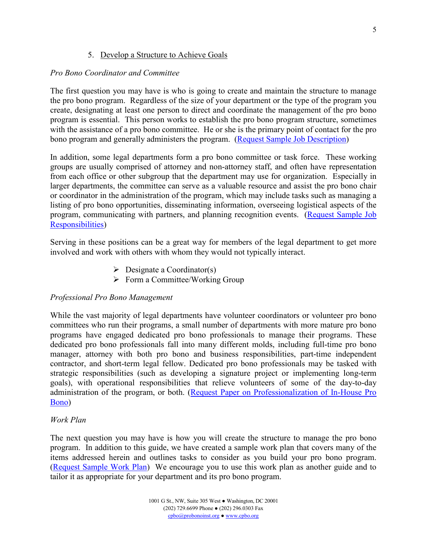## 5. Develop a Structure to Achieve Goals

## *Pro Bono Coordinator and Committee*

The first question you may have is who is going to create and maintain the structure to manage the pro bono program. Regardless of the size of your department or the type of the program you create, designating at least one person to direct and coordinate the management of the pro bono program is essential. This person works to establish the pro bono program structure, sometimes with the assistance of a pro bono committee. He or she is the primary point of contact for the pro bono program and generally administers the program. [\(Request Sample Job Description\)](mailto:cpbo@probonoinst.org?subject=Sample%20Job%20Description)

In addition, some legal departments form a pro bono committee or task force. These working groups are usually comprised of attorney and non-attorney staff, and often have representation from each office or other subgroup that the department may use for organization. Especially in larger departments, the committee can serve as a valuable resource and assist the pro bono chair or coordinator in the administration of the program, which may include tasks such as managing a listing of pro bono opportunities, disseminating information, overseeing logistical aspects of the program, communicating with partners, and planning recognition events. [\(Request Sample Job](mailto:cpbo@probononist.org?subject=Sample%20Job%20Responsibilities)  [Responsibilities\)](mailto:cpbo@probononist.org?subject=Sample%20Job%20Responsibilities)

Serving in these positions can be a great way for members of the legal department to get more involved and work with others with whom they would not typically interact.

- $\triangleright$  Designate a Coordinator(s)
- $\triangleright$  Form a Committee/Working Group

## *Professional Pro Bono Management*

While the vast majority of legal departments have volunteer coordinators or volunteer pro bono committees who run their programs, a small number of departments with more mature pro bono programs have engaged dedicated pro bono professionals to manage their programs. These dedicated pro bono professionals fall into many different molds, including full-time pro bono manager, attorney with both pro bono and business responsibilities, part-time independent contractor, and short-term legal fellow. Dedicated pro bono professionals may be tasked with strategic responsibilities (such as developing a signature project or implementing long-term goals), with operational responsibilities that relieve volunteers of some of the day-to-day administration of the program, or both. [\(Request Paper on Professionalization of In-House Pro](mailto:cpbo@probonoinst.org?subject=Professionalization%20of%20In-House%20Pro%20Bono)  [Bono\)](mailto:cpbo@probonoinst.org?subject=Professionalization%20of%20In-House%20Pro%20Bono)

## *Work Plan*

The next question you may have is how you will create the structure to manage the pro bono program. In addition to this guide, we have created a sample work plan that covers many of the items addressed herein and outlines tasks to consider as you build your pro bono program. [\(Request Sample Work Plan\)](mailto:cpbo@probonoinst.org?subject=Sample%20Work%20Plan) We encourage you to use this work plan as another guide and to tailor it as appropriate for your department and its pro bono program.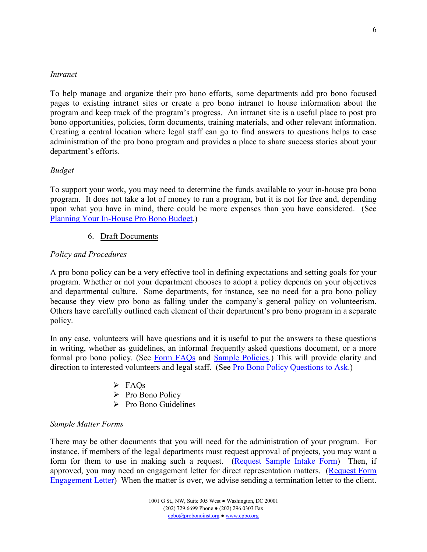#### *Intranet*

To help manage and organize their pro bono efforts, some departments add pro bono focused pages to existing intranet sites or create a pro bono intranet to house information about the program and keep track of the program's progress. An intranet site is a useful place to post pro bono opportunities, policies, form documents, training materials, and other relevant information. Creating a central location where legal staff can go to find answers to questions helps to ease administration of the pro bono program and provides a place to share success stories about your department's efforts.

## *Budget*

To support your work, you may need to determine the funds available to your in-house pro bono program. It does not take a lot of money to run a program, but it is not for free and, depending upon what you have in mind, there could be more expenses than you have considered. (See [Planning Your In-House Pro Bono Budget.](http://www.cpbo.org/document/planning-your-in-house-pro-bono-budget/))

## 6. Draft Documents

## *Policy and Procedures*

A pro bono policy can be a very effective tool in defining expectations and setting goals for your program. Whether or not your department chooses to adopt a policy depends on your objectives and departmental culture. Some departments, for instance, see no need for a pro bono policy because they view pro bono as falling under the company's general policy on volunteerism. Others have carefully outlined each element of their department's pro bono program in a separate policy.

In any case, volunteers will have questions and it is useful to put the answers to these questions in writing, whether as guidelines, an informal frequently asked questions document, or a more formal pro bono policy. (See [Form FAQs](http://www.cpbo.org/wp-content/uploads/2015/06/Pro-Bono-FAQs-Policy.pdf) and [Sample Policies.](http://www.cpbo.org/resources/sample-documents/)) This will provide clarity and direction to interested volunteers and legal staff. (See [Pro Bono Policy Questions to Ask](http://www.cpbo.org/wp-content/uploads/2012/01/Questions-to-Ask-Policy-10.31.17.pdf).)

- $\triangleright$  FAOs
- $\triangleright$  Pro Bono Policy
- $\triangleright$  Pro Bono Guidelines

## *Sample Matter Forms*

There may be other documents that you will need for the administration of your program. For instance, if members of the legal departments must request approval of projects, you may want a form for them to use in making such a request. ([Request Sample Intake Form](mailto:cpbo@probonoinst.org?subject=Sample%20Intake%20Form)) Then, if approved, you may need an engagement letter for direct representation matters. ([Request Form](mailto:cpbo@probonoinst.org?subject=Form%20Engagement%20Letter)  [Engagement Letter](mailto:cpbo@probonoinst.org?subject=Form%20Engagement%20Letter)) When the matter is over, we advise sending a termination letter to the client.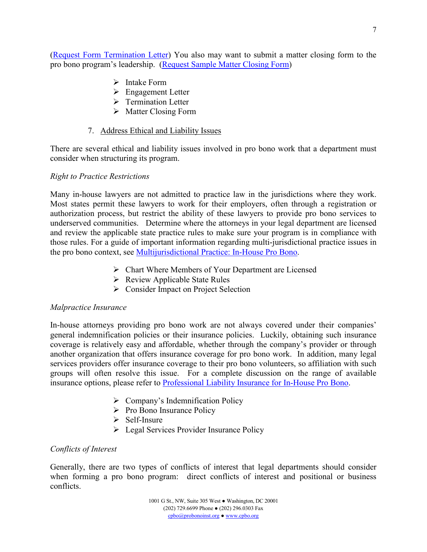7

([Request Form Termination Letter](mailto:cpbo@probonoinst.org?subject=Form%20Termination%20Letter)) You also may want to submit a matter closing form to the pro bono program's leadership. (Request S[ample Matter Closing Form](mailto:cpbo@probonoinst.org?subject=Sample%20Matter%20Closing%20Form))

- $\triangleright$  Intake Form
- **Engagement Letter**
- $\triangleright$  Termination Letter
- $\triangleright$  Matter Closing Form

# 7. Address Ethical and Liability Issues

There are several ethical and liability issues involved in pro bono work that a department must consider when structuring its program.

## *Right to Practice Restrictions*

Many in-house lawyers are not admitted to practice law in the jurisdictions where they work. Most states permit these lawyers to work for their employers, often through a registration or authorization process, but restrict the ability of these lawyers to provide pro bono services to underserved communities. Determine where the attorneys in your legal department are licensed and review the applicable state practice rules to make sure your program is in compliance with those rules. For a guide of important information regarding multi-jurisdictional practice issues in the pro bono context, see [Multijurisdictional Practice: In-House Pro Bono.](http://www.cpbo.org/wp-content/uploads/2021/01/MJP-guide-11.30.20.pdf)

- $\triangleright$  Chart Where Members of Your Department are Licensed
- $\triangleright$  Review Applicable State Rules
- Solution Consider Impact on Project Selection

# *Malpractice Insurance*

In-house attorneys providing pro bono work are not always covered under their companies' general indemnification policies or their insurance policies. Luckily, obtaining such insurance coverage is relatively easy and affordable, whether through the company's provider or through another organization that offers insurance coverage for pro bono work. In addition, many legal services providers offer insurance coverage to their pro bono volunteers, so affiliation with such groups will often resolve this issue. For a complete discussion on the range of available insurance options, please refer to [Professional Liability Insurance for In-House Pro Bono.](http://www.cpbo.org/insurance)

- $\triangleright$  Company's Indemnification Policy
- $\triangleright$  Pro Bono Insurance Policy
- $\triangleright$  Self-Insure
- **Equal Services Provider Insurance Policy**

# *Conflicts of Interest*

Generally, there are two types of conflicts of interest that legal departments should consider when forming a pro bono program: direct conflicts of interest and positional or business conflicts.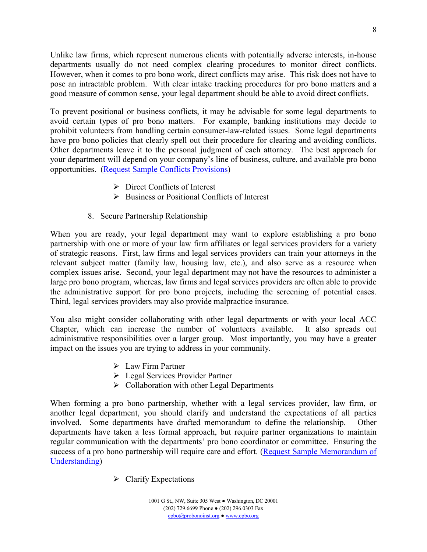Unlike law firms, which represent numerous clients with potentially adverse interests, in-house departments usually do not need complex clearing procedures to monitor direct conflicts. However, when it comes to pro bono work, direct conflicts may arise. This risk does not have to pose an intractable problem. With clear intake tracking procedures for pro bono matters and a good measure of common sense, your legal department should be able to avoid direct conflicts.

To prevent positional or business conflicts, it may be advisable for some legal departments to avoid certain types of pro bono matters. For example, banking institutions may decide to prohibit volunteers from handling certain consumer-law-related issues. Some legal departments have pro bono policies that clearly spell out their procedure for clearing and avoiding conflicts. Other departments leave it to the personal judgment of each attorney. The best approach for your department will depend on your company's line of business, culture, and available pro bono opportunities. [\(Request Sample Conflicts Provisions\)](mailto:cpbo@probonoinst.org?subject=Sample%20Conflicts%20Provisions)

- $\triangleright$  Direct Conflicts of Interest
- $\triangleright$  Business or Positional Conflicts of Interest

## 8. Secure Partnership Relationship

When you are ready, your legal department may want to explore establishing a pro bono partnership with one or more of your law firm affiliates or legal services providers for a variety of strategic reasons. First, law firms and legal services providers can train your attorneys in the relevant subject matter (family law, housing law, etc.), and also serve as a resource when complex issues arise. Second, your legal department may not have the resources to administer a large pro bono program, whereas, law firms and legal services providers are often able to provide the administrative support for pro bono projects, including the screening of potential cases. Third, legal services providers may also provide malpractice insurance.

You also might consider collaborating with other legal departments or with your local ACC Chapter, which can increase the number of volunteers available. It also spreads out administrative responsibilities over a larger group. Most importantly, you may have a greater impact on the issues you are trying to address in your community.

- Law Firm Partner
- **Executed Services Provider Partner**
- $\triangleright$  Collaboration with other Legal Departments

When forming a pro bono partnership, whether with a legal services provider, law firm, or another legal department, you should clarify and understand the expectations of all parties involved. Some departments have drafted memorandum to define the relationship. Other departments have taken a less formal approach, but require partner organizations to maintain regular communication with the departments' pro bono coordinator or committee. Ensuring the success of a pro bono partnership will require care and effort. (Request Sample Memorandum of [Understanding\)](mailto:cpbo@probonoinst.org?subject=Sample%20Memorandum%20of%20Understanding)

 $\triangleright$  Clarify Expectations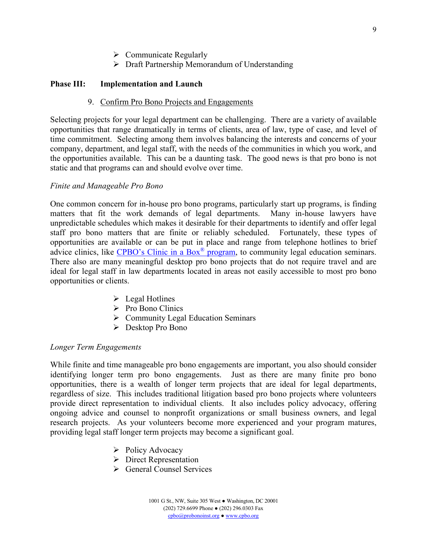- $\triangleright$  Communicate Regularly
- $\triangleright$  Draft Partnership Memorandum of Understanding

#### **Phase III: Implementation and Launch**

#### 9. Confirm Pro Bono Projects and Engagements

Selecting projects for your legal department can be challenging. There are a variety of available opportunities that range dramatically in terms of clients, area of law, type of case, and level of time commitment. Selecting among them involves balancing the interests and concerns of your company, department, and legal staff, with the needs of the communities in which you work, and the opportunities available. This can be a daunting task. The good news is that pro bono is not static and that programs can and should evolve over time.

#### *Finite and Manageable Pro Bono*

One common concern for in-house pro bono programs, particularly start up programs, is finding matters that fit the work demands of legal departments. Many in-house lawyers have unpredictable schedules which makes it desirable for their departments to identify and offer legal staff pro bono matters that are finite or reliably scheduled. Fortunately, these types of opportunities are available or can be put in place and range from telephone hotlines to brief advice clinics, like CPB[O's Clinic in a Box](http://www.cpbo.org/initiatives/clinic-in-a-box/)® program, to community legal education seminars. There also are many meaningful desktop pro bono projects that do not require travel and are ideal for legal staff in law departments located in areas not easily accessible to most pro bono opportunities or clients.

- $\triangleright$  Legal Hotlines
- $\triangleright$  Pro Bono Clinics
- $\triangleright$  Community Legal Education Seminars
- Desktop Pro Bono

#### *Longer Term Engagements*

While finite and time manageable pro bono engagements are important, you also should consider identifying longer term pro bono engagements. Just as there are many finite pro bono opportunities, there is a wealth of longer term projects that are ideal for legal departments, regardless of size. This includes traditional litigation based pro bono projects where volunteers provide direct representation to individual clients. It also includes policy advocacy, offering ongoing advice and counsel to nonprofit organizations or small business owners, and legal research projects. As your volunteers become more experienced and your program matures, providing legal staff longer term projects may become a significant goal.

- $\triangleright$  Policy Advocacy
- $\triangleright$  Direct Representation
- $\triangleright$  General Counsel Services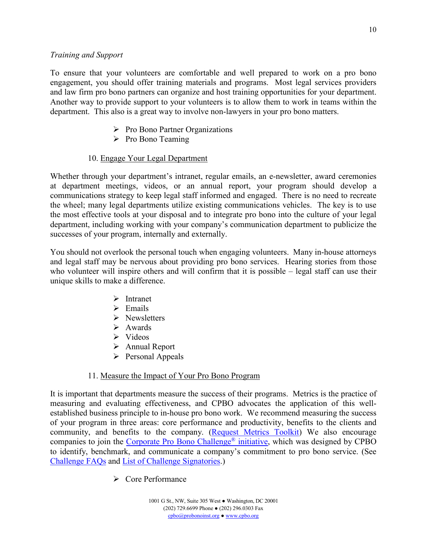#### *Training and Support*

To ensure that your volunteers are comfortable and well prepared to work on a pro bono engagement, you should offer training materials and programs. Most legal services providers and law firm pro bono partners can organize and host training opportunities for your department. Another way to provide support to your volunteers is to allow them to work in teams within the department. This also is a great way to involve non-lawyers in your pro bono matters.

- $\triangleright$  Pro Bono Partner Organizations
- $\triangleright$  Pro Bono Teaming

## 10. Engage Your Legal Department

Whether through your department's intranet, regular emails, an e-newsletter, award ceremonies at department meetings, videos, or an annual report, your program should develop a communications strategy to keep legal staff informed and engaged. There is no need to recreate the wheel; many legal departments utilize existing communications vehicles. The key is to use the most effective tools at your disposal and to integrate pro bono into the culture of your legal department, including working with your company's communication department to publicize the successes of your program, internally and externally.

You should not overlook the personal touch when engaging volunteers. Many in-house attorneys and legal staff may be nervous about providing pro bono services. Hearing stories from those who volunteer will inspire others and will confirm that it is possible – legal staff can use their unique skills to make a difference.

- $\triangleright$  Intranet
- $\triangleright$  Emails
- $\triangleright$  Newsletters
- $\triangleright$  Awards
- $\triangleright$  Videos
- Annual Report
- $\triangleright$  Personal Appeals

# 11. Measure the Impact of Your Pro Bono Program

It is important that departments measure the success of their programs. Metrics is the practice of measuring and evaluating effectiveness, and CPBO advocates the application of this wellestablished business principle to in-house pro bono work. We recommend measuring the success of your program in three areas: core performance and productivity, benefits to the clients and community, and benefits to the company. [\(Request Metrics Toolkit\)](mailto:cpbo@probonoinst.org?subject=Metrics%20Toolkit) We also encourage companies to join the [Corporate Pro Bono Challenge®](http://www.cpbo.org/cpbo-challenge/) initiative, which was designed by CPBO to identify, benchmark, and communicate a company's commitment to pro bono service. (See [Challenge FAQs](http://www.cpbo.org/cpbo-challenge/cpbo-challenge-faqs/) and [List of Challenge Signatories.](http://www.cpbo.org/cpbo-challenge/list-of-challenge-signatories/))

**►** Core Performance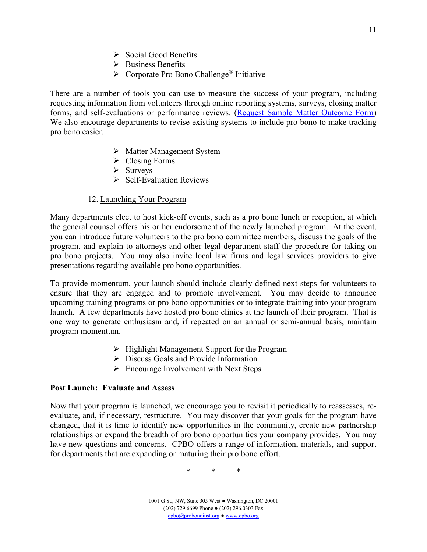- $\triangleright$  Social Good Benefits
- $\triangleright$  Business Benefits
- $\triangleright$  Corporate Pro Bono Challenge<sup>®</sup> Initiative

There are a number of tools you can use to measure the success of your program, including requesting information from volunteers through online reporting systems, surveys, closing matter forms, and self-evaluations or performance reviews. ([Request Sample Matter Outcome Form](mailto:cpbo@probonoinst.org?subject=Sample%20Matter%20Outcome%20Form)) We also encourage departments to revise existing systems to include pro bono to make tracking pro bono easier.

- Matter Management System
- $\triangleright$  Closing Forms
- $\triangleright$  Surveys
- $\triangleright$  Self-Evaluation Reviews

#### 12. Launching Your Program

Many departments elect to host kick-off events, such as a pro bono lunch or reception, at which the general counsel offers his or her endorsement of the newly launched program. At the event, you can introduce future volunteers to the pro bono committee members, discuss the goals of the program, and explain to attorneys and other legal department staff the procedure for taking on pro bono projects. You may also invite local law firms and legal services providers to give presentations regarding available pro bono opportunities.

To provide momentum, your launch should include clearly defined next steps for volunteers to ensure that they are engaged and to promote involvement. You may decide to announce upcoming training programs or pro bono opportunities or to integrate training into your program launch. A few departments have hosted pro bono clinics at the launch of their program. That is one way to generate enthusiasm and, if repeated on an annual or semi-annual basis, maintain program momentum.

- $\triangleright$  Highlight Management Support for the Program
- Discuss Goals and Provide Information
- $\triangleright$  Encourage Involvement with Next Steps

#### **Post Launch: Evaluate and Assess**

Now that your program is launched, we encourage you to revisit it periodically to reassesses, reevaluate, and, if necessary, restructure. You may discover that your goals for the program have changed, that it is time to identify new opportunities in the community, create new partnership relationships or expand the breadth of pro bono opportunities your company provides. You may have new questions and concerns. CPBO offers a range of information, materials, and support for departments that are expanding or maturing their pro bono effort.

\* \* \*